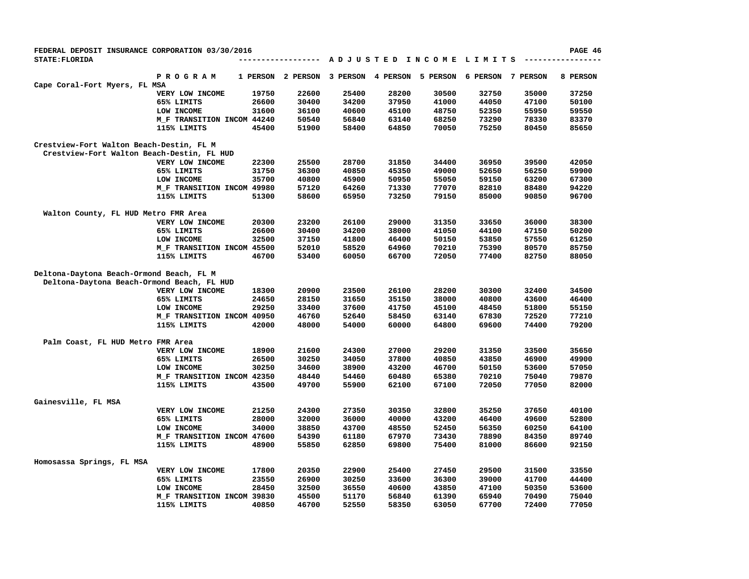| FEDERAL DEPOSIT INSURANCE CORPORATION 03/30/2016 |                            |          |                 |          |          |          |                                         |          | PAGE 46  |
|--------------------------------------------------|----------------------------|----------|-----------------|----------|----------|----------|-----------------------------------------|----------|----------|
| <b>STATE: FLORIDA</b>                            |                            |          | --------------- |          |          |          | A D J U S T E D I N C O M E L I M I T S |          |          |
|                                                  | <b>PROGRAM</b>             | 1 PERSON | 2 PERSON        | 3 PERSON | 4 PERSON | 5 PERSON | 6 PERSON                                | 7 PERSON | 8 PERSON |
| Cape Coral-Fort Myers, FL MSA                    |                            |          |                 |          |          |          |                                         |          |          |
|                                                  | VERY LOW INCOME            | 19750    | 22600           | 25400    | 28200    | 30500    | 32750                                   | 35000    | 37250    |
|                                                  | 65% LIMITS                 | 26600    | 30400           | 34200    | 37950    | 41000    | 44050                                   | 47100    | 50100    |
|                                                  | LOW INCOME                 | 31600    | 36100           | 40600    | 45100    | 48750    | 52350                                   | 55950    | 59550    |
|                                                  | M F TRANSITION INCOM 44240 |          | 50540           | 56840    | 63140    | 68250    | 73290                                   | 78330    | 83370    |
|                                                  | 115% LIMITS                | 45400    | 51900           | 58400    | 64850    | 70050    | 75250                                   | 80450    | 85650    |
| Crestview-Fort Walton Beach-Destin, FL M         |                            |          |                 |          |          |          |                                         |          |          |
| Crestview-Fort Walton Beach-Destin, FL HUD       |                            |          |                 |          |          |          |                                         |          |          |
|                                                  | VERY LOW INCOME            | 22300    | 25500           | 28700    | 31850    | 34400    | 36950                                   | 39500    | 42050    |
|                                                  | 65% LIMITS                 | 31750    | 36300           | 40850    | 45350    | 49000    | 52650                                   | 56250    | 59900    |
|                                                  | LOW INCOME                 | 35700    | 40800           | 45900    | 50950    | 55050    | 59150                                   | 63200    | 67300    |
|                                                  | M_F TRANSITION INCOM 49980 |          | 57120           | 64260    | 71330    | 77070    | 82810                                   | 88480    | 94220    |
|                                                  | 115% LIMITS                | 51300    | 58600           | 65950    | 73250    | 79150    | 85000                                   | 90850    | 96700    |
| Walton County, FL HUD Metro FMR Area             |                            |          |                 |          |          |          |                                         |          |          |
|                                                  | VERY LOW INCOME            | 20300    | 23200           | 26100    | 29000    | 31350    | 33650                                   | 36000    | 38300    |
|                                                  | 65% LIMITS                 | 26600    | 30400           | 34200    | 38000    | 41050    | 44100                                   | 47150    | 50200    |
|                                                  | LOW INCOME                 | 32500    | 37150           | 41800    | 46400    | 50150    | 53850                                   | 57550    | 61250    |
|                                                  | M_F TRANSITION INCOM 45500 |          | 52010           | 58520    | 64960    | 70210    | 75390                                   | 80570    | 85750    |
|                                                  | 115% LIMITS                | 46700    | 53400           | 60050    | 66700    | 72050    | 77400                                   | 82750    | 88050    |
| Deltona-Daytona Beach-Ormond Beach, FL M         |                            |          |                 |          |          |          |                                         |          |          |
| Deltona-Daytona Beach-Ormond Beach, FL HUD       |                            |          |                 |          |          |          |                                         |          |          |
|                                                  | VERY LOW INCOME            | 18300    | 20900           | 23500    | 26100    | 28200    | 30300                                   | 32400    | 34500    |
|                                                  | 65% LIMITS                 | 24650    | 28150           | 31650    | 35150    | 38000    | 40800                                   | 43600    | 46400    |
|                                                  | LOW INCOME                 | 29250    | 33400           | 37600    | 41750    | 45100    | 48450                                   | 51800    | 55150    |
|                                                  | M_F TRANSITION INCOM 40950 |          | 46760           | 52640    | 58450    | 63140    | 67830                                   | 72520    | 77210    |
|                                                  | 115% LIMITS                | 42000    | 48000           | 54000    | 60000    | 64800    | 69600                                   | 74400    | 79200    |
| Palm Coast, FL HUD Metro FMR Area                |                            |          |                 |          |          |          |                                         |          |          |
|                                                  | VERY LOW INCOME            | 18900    | 21600           | 24300    | 27000    | 29200    | 31350                                   | 33500    | 35650    |
|                                                  | 65% LIMITS                 | 26500    | 30250           | 34050    | 37800    | 40850    | 43850                                   | 46900    | 49900    |
|                                                  | LOW INCOME                 | 30250    | 34600           | 38900    | 43200    | 46700    | 50150                                   | 53600    | 57050    |
|                                                  | M_F TRANSITION INCOM 42350 |          | 48440           | 54460    | 60480    | 65380    | 70210                                   | 75040    | 79870    |
|                                                  | 115% LIMITS                | 43500    | 49700           | 55900    | 62100    | 67100    | 72050                                   | 77050    | 82000    |
| Gainesville, FL MSA                              |                            |          |                 |          |          |          |                                         |          |          |
|                                                  | VERY LOW INCOME            | 21250    | 24300           | 27350    | 30350    | 32800    | 35250                                   | 37650    | 40100    |
|                                                  | 65% LIMITS                 | 28000    | 32000           | 36000    | 40000    | 43200    | 46400                                   | 49600    | 52800    |
|                                                  | LOW INCOME                 | 34000    | 38850           | 43700    | 48550    | 52450    | 56350                                   | 60250    | 64100    |
|                                                  | M_F TRANSITION INCOM 47600 |          | 54390           | 61180    | 67970    | 73430    | 78890                                   | 84350    | 89740    |
|                                                  | 115% LIMITS                | 48900    | 55850           | 62850    | 69800    | 75400    | 81000                                   | 86600    | 92150    |
| Homosassa Springs, FL MSA                        |                            |          |                 |          |          |          |                                         |          |          |
|                                                  | VERY LOW INCOME            | 17800    | 20350           | 22900    | 25400    | 27450    | 29500                                   | 31500    | 33550    |
|                                                  | 65% LIMITS                 | 23550    | 26900           | 30250    | 33600    | 36300    | 39000                                   | 41700    | 44400    |
|                                                  | LOW INCOME                 | 28450    | 32500           | 36550    | 40600    | 43850    | 47100                                   | 50350    | 53600    |
|                                                  | M F TRANSITION INCOM 39830 |          | 45500           | 51170    | 56840    | 61390    | 65940                                   | 70490    | 75040    |
|                                                  | 115% LIMITS                | 40850    | 46700           | 52550    | 58350    | 63050    | 67700                                   | 72400    | 77050    |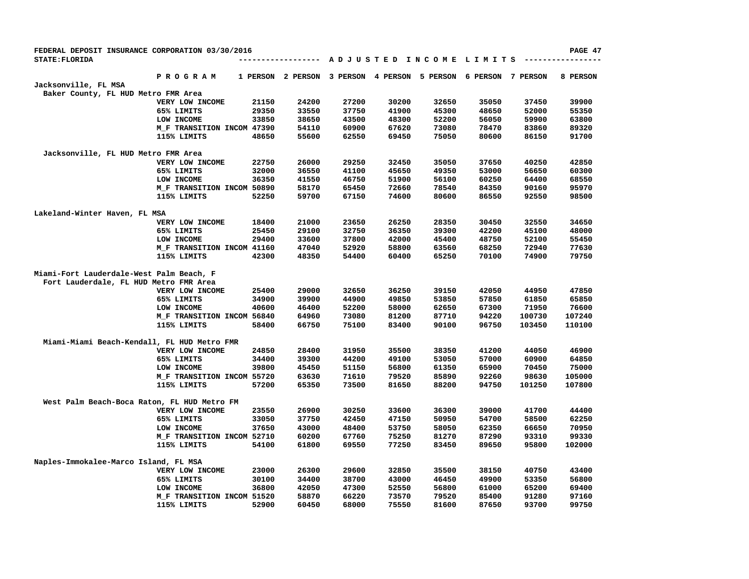| FEDERAL DEPOSIT INSURANCE CORPORATION 03/30/2016 |                            |          |          |          |          |          |                                         |          | PAGE 47  |
|--------------------------------------------------|----------------------------|----------|----------|----------|----------|----------|-----------------------------------------|----------|----------|
| <b>STATE: FLORIDA</b>                            |                            |          |          |          |          |          | A D J U S T E D I N C O M E L I M I T S |          |          |
|                                                  | P R O G R A M              | 1 PERSON | 2 PERSON | 3 PERSON | 4 PERSON | 5 PERSON | 6 PERSON                                | 7 PERSON | 8 PERSON |
| Jacksonville, FL MSA                             |                            |          |          |          |          |          |                                         |          |          |
| Baker County, FL HUD Metro FMR Area              |                            |          |          |          |          |          |                                         |          |          |
|                                                  | VERY LOW INCOME            | 21150    | 24200    | 27200    | 30200    | 32650    | 35050                                   | 37450    | 39900    |
|                                                  | 65% LIMITS                 | 29350    | 33550    | 37750    | 41900    | 45300    | 48650                                   | 52000    | 55350    |
|                                                  | LOW INCOME                 | 33850    | 38650    | 43500    | 48300    | 52200    | 56050                                   | 59900    | 63800    |
|                                                  | M F TRANSITION INCOM 47390 |          | 54110    | 60900    | 67620    | 73080    | 78470                                   | 83860    | 89320    |
|                                                  | 115% LIMITS                | 48650    | 55600    | 62550    | 69450    | 75050    | 80600                                   | 86150    | 91700    |
| Jacksonville, FL HUD Metro FMR Area              |                            |          |          |          |          |          |                                         |          |          |
|                                                  | VERY LOW INCOME            | 22750    | 26000    | 29250    | 32450    | 35050    | 37650                                   | 40250    | 42850    |
|                                                  | 65% LIMITS                 | 32000    | 36550    | 41100    | 45650    | 49350    | 53000                                   | 56650    | 60300    |
|                                                  | LOW INCOME                 | 36350    | 41550    | 46750    | 51900    | 56100    | 60250                                   | 64400    | 68550    |
|                                                  | M_F TRANSITION INCOM 50890 |          | 58170    | 65450    | 72660    | 78540    | 84350                                   | 90160    | 95970    |
|                                                  | 115% LIMITS                | 52250    | 59700    | 67150    | 74600    | 80600    | 86550                                   | 92550    | 98500    |
| Lakeland-Winter Haven, FL MSA                    |                            |          |          |          |          |          |                                         |          |          |
|                                                  | VERY LOW INCOME            | 18400    | 21000    | 23650    | 26250    | 28350    | 30450                                   | 32550    | 34650    |
|                                                  | 65% LIMITS                 | 25450    | 29100    | 32750    | 36350    | 39300    | 42200                                   | 45100    | 48000    |
|                                                  | LOW INCOME                 | 29400    | 33600    | 37800    | 42000    | 45400    | 48750                                   | 52100    | 55450    |
|                                                  | M_F TRANSITION INCOM 41160 |          | 47040    | 52920    | 58800    | 63560    | 68250                                   | 72940    | 77630    |
|                                                  | 115% LIMITS                | 42300    | 48350    | 54400    | 60400    | 65250    | 70100                                   | 74900    | 79750    |
| Miami-Fort Lauderdale-West Palm Beach, F         |                            |          |          |          |          |          |                                         |          |          |
| Fort Lauderdale, FL HUD Metro FMR Area           |                            |          |          |          |          |          |                                         |          |          |
|                                                  | VERY LOW INCOME            | 25400    | 29000    | 32650    | 36250    | 39150    | 42050                                   | 44950    | 47850    |
|                                                  | 65% LIMITS                 | 34900    | 39900    | 44900    | 49850    | 53850    | 57850                                   | 61850    | 65850    |
|                                                  | LOW INCOME                 | 40600    | 46400    | 52200    | 58000    | 62650    | 67300                                   | 71950    | 76600    |
|                                                  | M_F TRANSITION INCOM 56840 |          | 64960    | 73080    | 81200    | 87710    | 94220                                   | 100730   | 107240   |
|                                                  | 115% LIMITS                | 58400    | 66750    | 75100    | 83400    | 90100    | 96750                                   | 103450   | 110100   |
| Miami-Miami Beach-Kendall, FL HUD Metro FMR      |                            |          |          |          |          |          |                                         |          |          |
|                                                  | VERY LOW INCOME            | 24850    | 28400    | 31950    | 35500    | 38350    | 41200                                   | 44050    | 46900    |
|                                                  | 65% LIMITS                 | 34400    | 39300    | 44200    | 49100    | 53050    | 57000                                   | 60900    | 64850    |
|                                                  | LOW INCOME                 | 39800    | 45450    | 51150    | 56800    | 61350    | 65900                                   | 70450    | 75000    |
|                                                  | M F TRANSITION INCOM 55720 |          | 63630    | 71610    | 79520    | 85890    | 92260                                   | 98630    | 105000   |
|                                                  | 115% LIMITS                | 57200    | 65350    | 73500    | 81650    | 88200    | 94750                                   | 101250   | 107800   |
| West Palm Beach-Boca Raton, FL HUD Metro FM      |                            |          |          |          |          |          |                                         |          |          |
|                                                  | VERY LOW INCOME            | 23550    | 26900    | 30250    | 33600    | 36300    | 39000                                   | 41700    | 44400    |
|                                                  | 65% LIMITS                 | 33050    | 37750    | 42450    | 47150    | 50950    | 54700                                   | 58500    | 62250    |
|                                                  | LOW INCOME                 | 37650    | 43000    | 48400    | 53750    | 58050    | 62350                                   | 66650    | 70950    |
|                                                  | M_F TRANSITION INCOM 52710 |          | 60200    | 67760    | 75250    | 81270    | 87290                                   | 93310    | 99330    |
|                                                  | 115% LIMITS                | 54100    | 61800    | 69550    | 77250    | 83450    | 89650                                   | 95800    | 102000   |
|                                                  |                            |          |          |          |          |          |                                         |          |          |
| Naples-Immokalee-Marco Island, FL MSA            |                            |          |          |          |          |          |                                         |          |          |
|                                                  | VERY LOW INCOME            | 23000    | 26300    | 29600    | 32850    | 35500    | 38150                                   | 40750    | 43400    |
|                                                  | 65% LIMITS                 | 30100    | 34400    | 38700    | 43000    | 46450    | 49900                                   | 53350    | 56800    |
|                                                  | LOW INCOME                 | 36800    | 42050    | 47300    | 52550    | 56800    | 61000                                   | 65200    | 69400    |
|                                                  | M F TRANSITION INCOM 51520 |          | 58870    | 66220    | 73570    | 79520    | 85400                                   | 91280    | 97160    |
|                                                  | 115% LIMITS                | 52900    | 60450    | 68000    | 75550    | 81600    | 87650                                   | 93700    | 99750    |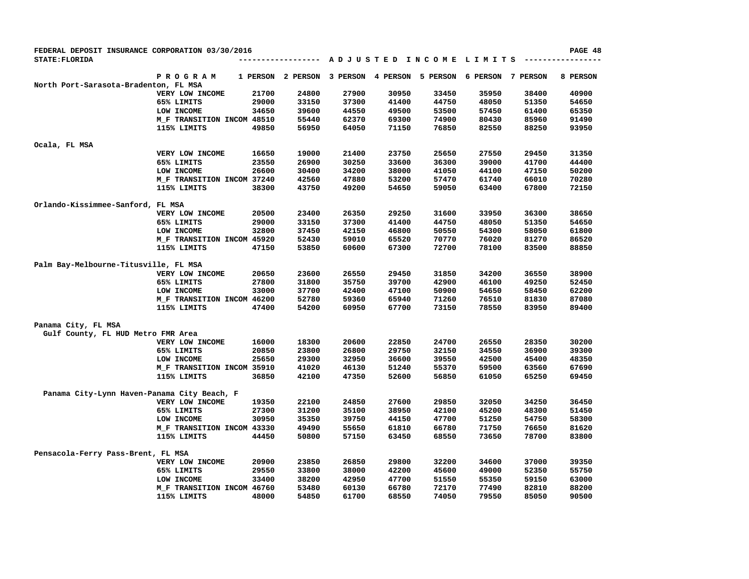| FEDERAL DEPOSIT INSURANCE CORPORATION 03/30/2016 |                            |       |                   |          |          |          |                        |          | PAGE 48  |
|--------------------------------------------------|----------------------------|-------|-------------------|----------|----------|----------|------------------------|----------|----------|
| <b>STATE: FLORIDA</b>                            |                            |       | .                 |          |          |          | ADJUSTED INCOME LIMITS |          |          |
|                                                  | <b>PROGRAM</b>             |       | 1 PERSON 2 PERSON | 3 PERSON | 4 PERSON | 5 PERSON | 6 PERSON               | 7 PERSON | 8 PERSON |
| North Port-Sarasota-Bradenton, FL MSA            |                            |       |                   |          |          |          |                        |          |          |
|                                                  | VERY LOW INCOME            | 21700 | 24800             | 27900    | 30950    | 33450    | 35950                  | 38400    | 40900    |
|                                                  | 65% LIMITS                 | 29000 | 33150             | 37300    | 41400    | 44750    | 48050                  | 51350    | 54650    |
|                                                  | LOW INCOME                 | 34650 | 39600             | 44550    | 49500    | 53500    | 57450                  | 61400    | 65350    |
|                                                  | M_F TRANSITION INCOM 48510 |       | 55440             | 62370    | 69300    | 74900    | 80430                  | 85960    | 91490    |
|                                                  | 115% LIMITS                | 49850 | 56950             | 64050    | 71150    | 76850    | 82550                  | 88250    | 93950    |
| Ocala, FL MSA                                    |                            |       |                   |          |          |          |                        |          |          |
|                                                  | VERY LOW INCOME            | 16650 | 19000             | 21400    | 23750    | 25650    | 27550                  | 29450    | 31350    |
|                                                  | 65% LIMITS                 | 23550 | 26900             | 30250    | 33600    | 36300    | 39000                  | 41700    | 44400    |
|                                                  | LOW INCOME                 | 26600 | 30400             | 34200    | 38000    | 41050    | 44100                  | 47150    | 50200    |
|                                                  | M_F TRANSITION INCOM 37240 |       | 42560             | 47880    | 53200    | 57470    | 61740                  | 66010    | 70280    |
|                                                  | 115% LIMITS                | 38300 | 43750             | 49200    | 54650    | 59050    | 63400                  | 67800    | 72150    |
| Orlando-Kissimmee-Sanford, FL MSA                |                            |       |                   |          |          |          |                        |          |          |
|                                                  | VERY LOW INCOME            | 20500 | 23400             | 26350    | 29250    | 31600    | 33950                  | 36300    | 38650    |
|                                                  | 65% LIMITS                 | 29000 | 33150             | 37300    | 41400    | 44750    | 48050                  | 51350    | 54650    |
|                                                  | LOW INCOME                 | 32800 | 37450             | 42150    | 46800    | 50550    | 54300                  | 58050    | 61800    |
|                                                  | M F TRANSITION INCOM 45920 |       | 52430             | 59010    | 65520    | 70770    | 76020                  | 81270    | 86520    |
|                                                  | 115% LIMITS                | 47150 | 53850             | 60600    | 67300    | 72700    | 78100                  | 83500    | 88850    |
| Palm Bay-Melbourne-Titusville, FL MSA            |                            |       |                   |          |          |          |                        |          |          |
|                                                  | VERY LOW INCOME            | 20650 | 23600             | 26550    | 29450    | 31850    | 34200                  | 36550    | 38900    |
|                                                  | 65% LIMITS                 | 27800 | 31800             | 35750    | 39700    | 42900    | 46100                  | 49250    | 52450    |
|                                                  | LOW INCOME                 | 33000 | 37700             | 42400    | 47100    | 50900    | 54650                  | 58450    | 62200    |
|                                                  | M_F TRANSITION INCOM 46200 |       | 52780             | 59360    | 65940    | 71260    | 76510                  | 81830    | 87080    |
|                                                  | 115% LIMITS                | 47400 | 54200             | 60950    | 67700    | 73150    | 78550                  | 83950    | 89400    |
| Panama City, FL MSA                              |                            |       |                   |          |          |          |                        |          |          |
| Gulf County, FL HUD Metro FMR Area               |                            |       |                   |          |          |          |                        |          |          |
|                                                  | VERY LOW INCOME            | 16000 | 18300             | 20600    | 22850    | 24700    | 26550                  | 28350    | 30200    |
|                                                  | 65% LIMITS                 | 20850 | 23800             | 26800    | 29750    | 32150    | 34550                  | 36900    | 39300    |
|                                                  | LOW INCOME                 | 25650 | 29300             | 32950    | 36600    | 39550    | 42500                  | 45400    | 48350    |
|                                                  | M_F TRANSITION INCOM 35910 |       | 41020             | 46130    | 51240    | 55370    | 59500                  | 63560    | 67690    |
|                                                  | 115% LIMITS                | 36850 | 42100             | 47350    | 52600    | 56850    | 61050                  | 65250    | 69450    |
| Panama City-Lynn Haven-Panama City Beach, F      |                            |       |                   |          |          |          |                        |          |          |
|                                                  | VERY LOW INCOME            | 19350 | 22100             | 24850    | 27600    | 29850    | 32050                  | 34250    | 36450    |
|                                                  | 65% LIMITS                 | 27300 | 31200             | 35100    | 38950    | 42100    | 45200                  | 48300    | 51450    |
|                                                  | LOW INCOME                 | 30950 | 35350             | 39750    | 44150    | 47700    | 51250                  | 54750    | 58300    |
|                                                  | M F TRANSITION INCOM 43330 |       | 49490             | 55650    | 61810    | 66780    | 71750                  | 76650    | 81620    |
|                                                  | 115% LIMITS                | 44450 | 50800             | 57150    | 63450    | 68550    | 73650                  | 78700    | 83800    |
| Pensacola-Ferry Pass-Brent, FL MSA               |                            |       |                   |          |          |          |                        |          |          |
|                                                  | VERY LOW INCOME            | 20900 | 23850             | 26850    | 29800    | 32200    | 34600                  | 37000    | 39350    |
|                                                  | 65% LIMITS                 | 29550 | 33800             | 38000    | 42200    | 45600    | 49000                  | 52350    | 55750    |
|                                                  | LOW INCOME                 | 33400 | 38200             | 42950    | 47700    | 51550    | 55350                  | 59150    | 63000    |
|                                                  | M F TRANSITION INCOM 46760 |       | 53480             | 60130    | 66780    | 72170    | 77490                  | 82810    | 88200    |
|                                                  | 115% LIMITS                | 48000 | 54850             | 61700    | 68550    | 74050    | 79550                  | 85050    | 90500    |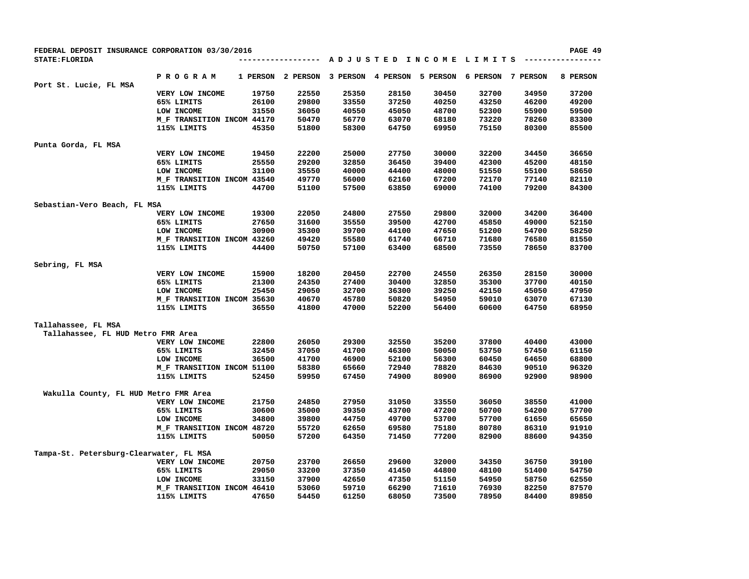| FEDERAL DEPOSIT INSURANCE CORPORATION 03/30/2016 |                            |          |              |                   |       |                                         |                   |       | PAGE 49  |
|--------------------------------------------------|----------------------------|----------|--------------|-------------------|-------|-----------------------------------------|-------------------|-------|----------|
| <b>STATE: FLORIDA</b>                            |                            |          | . <b>.</b> . |                   |       | A D J U S T E D I N C O M E L I M I T S |                   |       |          |
| Port St. Lucie, FL MSA                           | <b>PROGRAM</b>             | 1 PERSON | 2 PERSON     | 3 PERSON 4 PERSON |       | 5 PERSON                                | 6 PERSON 7 PERSON |       | 8 PERSON |
|                                                  | VERY LOW INCOME            | 19750    | 22550        | 25350             | 28150 | 30450                                   | 32700             | 34950 | 37200    |
|                                                  | 65% LIMITS                 | 26100    | 29800        | 33550             | 37250 | 40250                                   | 43250             | 46200 | 49200    |
|                                                  | LOW INCOME                 | 31550    | 36050        | 40550             | 45050 | 48700                                   | 52300             | 55900 | 59500    |
|                                                  | M_F TRANSITION INCOM 44170 |          | 50470        | 56770             | 63070 | 68180                                   | 73220             | 78260 | 83300    |
|                                                  | 115% LIMITS                | 45350    | 51800        | 58300             | 64750 | 69950                                   | 75150             | 80300 | 85500    |
| Punta Gorda, FL MSA                              |                            |          |              |                   |       |                                         |                   |       |          |
|                                                  | VERY LOW INCOME            | 19450    | 22200        | 25000             | 27750 | 30000                                   | 32200             | 34450 | 36650    |
|                                                  | 65% LIMITS                 | 25550    | 29200        | 32850             | 36450 | 39400                                   | 42300             | 45200 | 48150    |
|                                                  | LOW INCOME                 | 31100    | 35550        | 40000             | 44400 | 48000                                   | 51550             | 55100 | 58650    |
|                                                  | M_F TRANSITION INCOM 43540 |          | 49770        | 56000             | 62160 | 67200                                   | 72170             | 77140 | 82110    |
|                                                  | 115% LIMITS                | 44700    | 51100        | 57500             | 63850 | 69000                                   | 74100             | 79200 | 84300    |
| Sebastian-Vero Beach, FL MSA                     |                            |          |              |                   |       |                                         |                   |       |          |
|                                                  | VERY LOW INCOME            | 19300    | 22050        | 24800             | 27550 | 29800                                   | 32000             | 34200 | 36400    |
|                                                  | 65% LIMITS                 | 27650    | 31600        | 35550             | 39500 | 42700                                   | 45850             | 49000 | 52150    |
|                                                  | LOW INCOME                 | 30900    | 35300        | 39700             | 44100 | 47650                                   | 51200             | 54700 | 58250    |
|                                                  | M_F TRANSITION INCOM 43260 |          | 49420        | 55580             | 61740 | 66710                                   | 71680             | 76580 | 81550    |
|                                                  | 115% LIMITS                | 44400    | 50750        | 57100             | 63400 | 68500                                   | 73550             | 78650 | 83700    |
| Sebring, FL MSA                                  |                            |          |              |                   |       |                                         |                   |       |          |
|                                                  | VERY LOW INCOME            | 15900    | 18200        | 20450             | 22700 | 24550                                   | 26350             | 28150 | 30000    |
|                                                  | 65% LIMITS                 | 21300    | 24350        | 27400             | 30400 | 32850                                   | 35300             | 37700 | 40150    |
|                                                  | LOW INCOME                 | 25450    | 29050        | 32700             | 36300 | 39250                                   | 42150             | 45050 | 47950    |
|                                                  | M_F TRANSITION INCOM 35630 |          | 40670        | 45780             | 50820 | 54950                                   | 59010             | 63070 | 67130    |
|                                                  | 115% LIMITS                | 36550    | 41800        | 47000             | 52200 | 56400                                   | 60600             | 64750 | 68950    |
| Tallahassee, FL MSA                              |                            |          |              |                   |       |                                         |                   |       |          |
| Tallahassee, FL HUD Metro FMR Area               |                            |          |              |                   |       |                                         |                   |       |          |
|                                                  | VERY LOW INCOME            | 22800    | 26050        | 29300             | 32550 | 35200                                   | 37800             | 40400 | 43000    |
|                                                  | 65% LIMITS                 | 32450    | 37050        | 41700             | 46300 | 50050                                   | 53750             | 57450 | 61150    |
|                                                  | LOW INCOME                 | 36500    | 41700        | 46900             | 52100 | 56300                                   | 60450             | 64650 | 68800    |
|                                                  | M_F TRANSITION INCOM 51100 |          | 58380        | 65660             | 72940 | 78820                                   | 84630             | 90510 | 96320    |
|                                                  | 115% LIMITS                | 52450    | 59950        | 67450             | 74900 | 80900                                   | 86900             | 92900 | 98900    |
| Wakulla County, FL HUD Metro FMR Area            |                            |          |              |                   |       |                                         |                   |       |          |
|                                                  | VERY LOW INCOME            | 21750    | 24850        | 27950             | 31050 | 33550                                   | 36050             | 38550 | 41000    |
|                                                  | 65% LIMITS                 | 30600    | 35000        | 39350             | 43700 | 47200                                   | 50700             | 54200 | 57700    |
|                                                  | LOW INCOME                 | 34800    | 39800        | 44750             | 49700 | 53700                                   | 57700             | 61650 | 65650    |
|                                                  | M_F TRANSITION INCOM 48720 |          | 55720        | 62650             | 69580 | 75180                                   | 80780             | 86310 | 91910    |
|                                                  | 115% LIMITS                | 50050    | 57200        | 64350             | 71450 | 77200                                   | 82900             | 88600 | 94350    |
| Tampa-St. Petersburg-Clearwater, FL MSA          |                            |          |              |                   |       |                                         |                   |       |          |
|                                                  | VERY LOW INCOME            | 20750    | 23700        | 26650             | 29600 | 32000                                   | 34350             | 36750 | 39100    |
|                                                  | 65% LIMITS                 | 29050    | 33200        | 37350             | 41450 | 44800                                   | 48100             | 51400 | 54750    |
|                                                  | LOW INCOME                 | 33150    | 37900        | 42650             | 47350 | 51150                                   | 54950             | 58750 | 62550    |
|                                                  | M_F TRANSITION INCOM 46410 |          | 53060        | 59710             | 66290 | 71610                                   | 76930             | 82250 | 87570    |
|                                                  | 115% LIMITS                | 47650    | 54450        | 61250             | 68050 | 73500                                   | 78950             | 84400 | 89850    |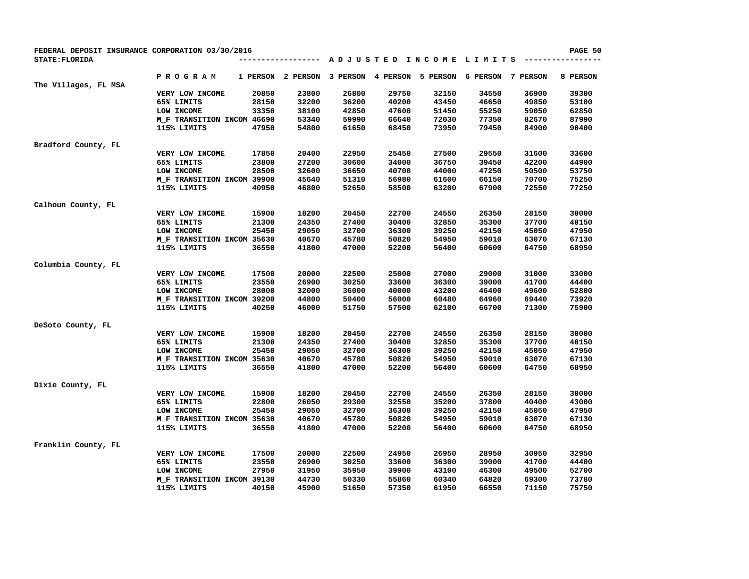| FEDERAL DEPOSIT INSURANCE CORPORATION 03/30/2016 |                            |          |                |          |          |                        |          |          | PAGE 50  |
|--------------------------------------------------|----------------------------|----------|----------------|----------|----------|------------------------|----------|----------|----------|
| STATE: FLORIDA                                   |                            |          | -------------- |          |          | ADJUSTED INCOME LIMITS |          |          |          |
|                                                  | <b>PROGRAM</b>             | 1 PERSON | 2 PERSON       | 3 PERSON | 4 PERSON | 5 PERSON               | 6 PERSON | 7 PERSON | 8 PERSON |
| The Villages, FL MSA                             |                            |          |                |          |          |                        |          |          |          |
|                                                  | VERY LOW INCOME            | 20850    | 23800          | 26800    | 29750    | 32150                  | 34550    | 36900    | 39300    |
|                                                  | 65% LIMITS                 | 28150    | 32200          | 36200    | 40200    | 43450                  | 46650    | 49850    | 53100    |
|                                                  | LOW INCOME                 | 33350    | 38100          | 42850    | 47600    | 51450                  | 55250    | 59050    | 62850    |
|                                                  | M_F TRANSITION INCOM 46690 |          | 53340          | 59990    | 66640    | 72030                  | 77350    | 82670    | 87990    |
|                                                  | 115% LIMITS                | 47950    | 54800          | 61650    | 68450    | 73950                  | 79450    | 84900    | 90400    |
| Bradford County, FL                              |                            |          |                |          |          |                        |          |          |          |
|                                                  | VERY LOW INCOME            | 17850    | 20400          | 22950    | 25450    | 27500                  | 29550    | 31600    | 33600    |
|                                                  | 65% LIMITS                 | 23800    | 27200          | 30600    | 34000    | 36750                  | 39450    | 42200    | 44900    |
|                                                  | LOW INCOME                 | 28500    | 32600          | 36650    | 40700    | 44000                  | 47250    | 50500    | 53750    |
|                                                  | M_F TRANSITION INCOM 39900 |          | 45640          | 51310    | 56980    | 61600                  | 66150    | 70700    | 75250    |
|                                                  | 115% LIMITS                | 40950    | 46800          | 52650    | 58500    | 63200                  | 67900    | 72550    | 77250    |
| Calhoun County, FL                               |                            |          |                |          |          |                        |          |          |          |
|                                                  | VERY LOW INCOME            | 15900    | 18200          | 20450    | 22700    | 24550                  | 26350    | 28150    | 30000    |
|                                                  | 65% LIMITS                 | 21300    | 24350          | 27400    | 30400    | 32850                  | 35300    | 37700    | 40150    |
|                                                  | LOW INCOME                 | 25450    | 29050          | 32700    | 36300    | 39250                  | 42150    | 45050    | 47950    |
|                                                  | M F TRANSITION INCOM 35630 |          | 40670          | 45780    | 50820    | 54950                  | 59010    | 63070    | 67130    |
|                                                  | 115% LIMITS                | 36550    | 41800          | 47000    | 52200    | 56400                  | 60600    | 64750    | 68950    |
| Columbia County, FL                              |                            |          |                |          |          |                        |          |          |          |
|                                                  | VERY LOW INCOME            | 17500    | 20000          | 22500    | 25000    | 27000                  | 29000    | 31000    | 33000    |
|                                                  | 65% LIMITS                 | 23550    | 26900          | 30250    | 33600    | 36300                  | 39000    | 41700    | 44400    |
|                                                  | LOW INCOME                 | 28000    | 32000          | 36000    | 40000    | 43200                  | 46400    | 49600    | 52800    |
|                                                  | M F TRANSITION INCOM 39200 |          | 44800          | 50400    | 56000    | 60480                  | 64960    | 69440    | 73920    |
|                                                  | 115% LIMITS                | 40250    | 46000          | 51750    | 57500    | 62100                  | 66700    | 71300    | 75900    |
| DeSoto County, FL                                |                            |          |                |          |          |                        |          |          |          |
|                                                  | VERY LOW INCOME            | 15900    | 18200          | 20450    | 22700    | 24550                  | 26350    | 28150    | 30000    |
|                                                  | 65% LIMITS                 | 21300    | 24350          | 27400    | 30400    | 32850                  | 35300    | 37700    | 40150    |
|                                                  | LOW INCOME                 | 25450    | 29050          | 32700    | 36300    | 39250                  | 42150    | 45050    | 47950    |
|                                                  | M_F TRANSITION INCOM 35630 |          | 40670          | 45780    | 50820    | 54950                  | 59010    | 63070    | 67130    |
|                                                  | 115% LIMITS                | 36550    | 41800          | 47000    | 52200    | 56400                  | 60600    | 64750    | 68950    |
| Dixie County, FL                                 |                            |          |                |          |          |                        |          |          |          |
|                                                  | VERY LOW INCOME            | 15900    | 18200          | 20450    | 22700    | 24550                  | 26350    | 28150    | 30000    |
|                                                  | 65% LIMITS                 | 22800    | 26050          | 29300    | 32550    | 35200                  | 37800    | 40400    | 43000    |
|                                                  | LOW INCOME                 | 25450    | 29050          | 32700    | 36300    | 39250                  | 42150    | 45050    | 47950    |
|                                                  | M_F TRANSITION INCOM 35630 |          | 40670          | 45780    | 50820    | 54950                  | 59010    | 63070    | 67130    |
|                                                  | 115% LIMITS                | 36550    | 41800          | 47000    | 52200    | 56400                  | 60600    | 64750    | 68950    |
| Franklin County, FL                              |                            |          |                |          |          |                        |          |          |          |
|                                                  | VERY LOW INCOME            | 17500    | 20000          | 22500    | 24950    | 26950                  | 28950    | 30950    | 32950    |
|                                                  | 65% LIMITS                 | 23550    | 26900          | 30250    | 33600    | 36300                  | 39000    | 41700    | 44400    |
|                                                  | LOW INCOME                 | 27950    | 31950          | 35950    | 39900    | 43100                  | 46300    | 49500    | 52700    |
|                                                  | M_F TRANSITION INCOM 39130 |          | 44730          | 50330    | 55860    | 60340                  | 64820    | 69300    | 73780    |
|                                                  | 115% LIMITS                | 40150    | 45900          | 51650    | 57350    | 61950                  | 66550    | 71150    | 75750    |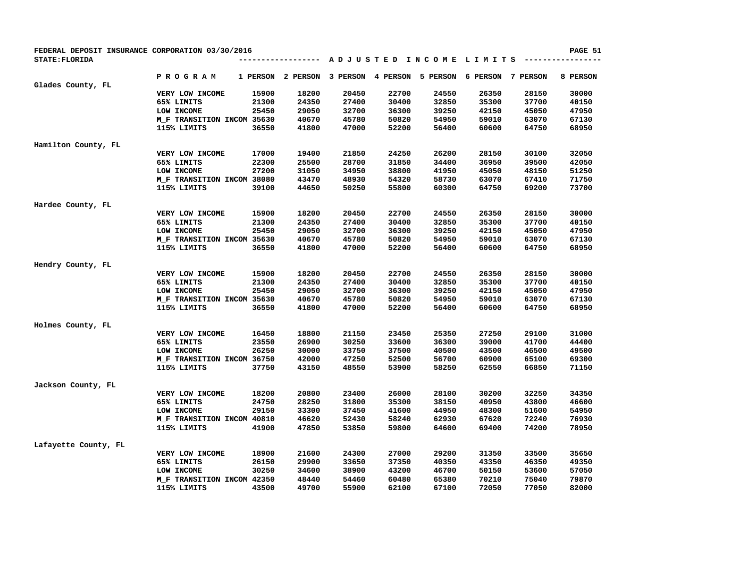| FEDERAL DEPOSIT INSURANCE CORPORATION 03/30/2016 |                            |                |                               |                |                |                                         |                   |                | PAGE 51        |
|--------------------------------------------------|----------------------------|----------------|-------------------------------|----------------|----------------|-----------------------------------------|-------------------|----------------|----------------|
| STATE: FLORIDA                                   |                            |                | . - - - - - - - - - - - - - - |                |                | A D J U S T E D I N C O M E L I M I T S |                   |                |                |
|                                                  | P R O G R A M              | 1 PERSON       | 2 PERSON                      | 3 PERSON       | 4 PERSON       | 5 PERSON                                | 6 PERSON 7 PERSON |                | 8 PERSON       |
| Glades County, FL                                |                            |                |                               |                |                |                                         |                   |                |                |
|                                                  | VERY LOW INCOME            | 15900          | 18200                         | 20450          | 22700          | 24550                                   | 26350<br>35300    | 28150          | 30000          |
|                                                  | 65% LIMITS<br>LOW INCOME   | 21300<br>25450 | 24350<br>29050                | 27400<br>32700 | 30400<br>36300 | 32850<br>39250                          | 42150             | 37700<br>45050 | 40150<br>47950 |
|                                                  |                            |                |                               |                |                |                                         |                   |                |                |
|                                                  | M F TRANSITION INCOM 35630 |                | 40670                         | 45780          | 50820          | 54950                                   | 59010             | 63070          | 67130          |
|                                                  | 115% LIMITS                | 36550          | 41800                         | 47000          | 52200          | 56400                                   | 60600             | 64750          | 68950          |
| Hamilton County, FL                              |                            |                |                               |                |                |                                         |                   |                |                |
|                                                  | VERY LOW INCOME            | 17000          | 19400                         | 21850          | 24250          | 26200                                   | 28150             | 30100          | 32050          |
|                                                  | 65% LIMITS                 | 22300          | 25500                         | 28700          | 31850          | 34400                                   | 36950             | 39500          | 42050          |
|                                                  | LOW INCOME                 | 27200          | 31050                         | 34950          | 38800          | 41950                                   | 45050             | 48150          | 51250          |
|                                                  | M_F TRANSITION INCOM 38080 |                | 43470                         | 48930          | 54320          | 58730                                   | 63070             | 67410          | 71750          |
|                                                  | 115% LIMITS                | 39100          | 44650                         | 50250          | 55800          | 60300                                   | 64750             | 69200          | 73700          |
| Hardee County, FL                                |                            |                |                               |                |                |                                         |                   |                |                |
|                                                  | VERY LOW INCOME            | 15900          | 18200                         | 20450          | 22700          | 24550                                   | 26350             | 28150          | 30000          |
|                                                  | 65% LIMITS                 | 21300          | 24350                         | 27400          | 30400          | 32850                                   | 35300             | 37700          | 40150          |
|                                                  | LOW INCOME                 | 25450          | 29050                         | 32700          | 36300          | 39250                                   | 42150             | 45050          | 47950          |
|                                                  | M_F TRANSITION INCOM 35630 |                | 40670                         | 45780          | 50820          | 54950                                   | 59010             | 63070          | 67130          |
|                                                  | 115% LIMITS                | 36550          | 41800                         | 47000          | 52200          | 56400                                   | 60600             | 64750          | 68950          |
| Hendry County, FL                                |                            |                |                               |                |                |                                         |                   |                |                |
|                                                  | VERY LOW INCOME            | 15900          | 18200                         | 20450          | 22700          | 24550                                   | 26350             | 28150          | 30000          |
|                                                  | 65% LIMITS                 | 21300          | 24350                         | 27400          | 30400          | 32850                                   | 35300             | 37700          | 40150          |
|                                                  | LOW INCOME                 | 25450          | 29050                         | 32700          | 36300          | 39250                                   | 42150             | 45050          | 47950          |
|                                                  | M_F TRANSITION INCOM 35630 |                | 40670                         | 45780          | 50820          | 54950                                   | 59010             | 63070          | 67130          |
|                                                  | 115% LIMITS                | 36550          | 41800                         | 47000          | 52200          | 56400                                   | 60600             | 64750          | 68950          |
|                                                  |                            |                |                               |                |                |                                         |                   |                |                |
| Holmes County, FL                                | VERY LOW INCOME            | 16450          | 18800                         | 21150          | 23450          | 25350                                   | 27250             | 29100          | 31000          |
|                                                  | 65% LIMITS                 | 23550          | 26900                         | 30250          | 33600          | 36300                                   | 39000             | 41700          | 44400          |
|                                                  | LOW INCOME                 | 26250          | 30000                         | 33750          | 37500          | 40500                                   | 43500             | 46500          | 49500          |
|                                                  | M_F TRANSITION INCOM 36750 |                | 42000                         | 47250          | 52500          | 56700                                   | 60900             | 65100          | 69300          |
|                                                  | 115% LIMITS                | 37750          | 43150                         | 48550          | 53900          | 58250                                   | 62550             | 66850          | 71150          |
|                                                  |                            |                |                               |                |                |                                         |                   |                |                |
| Jackson County, FL                               |                            |                |                               |                |                |                                         |                   |                |                |
|                                                  | VERY LOW INCOME            | 18200          | 20800                         | 23400          | 26000          | 28100                                   | 30200             | 32250          | 34350          |
|                                                  | 65% LIMITS                 | 24750          | 28250                         | 31800          | 35300          | 38150                                   | 40950             | 43800          | 46600          |
|                                                  | LOW INCOME                 | 29150          | 33300                         | 37450          | 41600          | 44950                                   | 48300             | 51600          | 54950          |
|                                                  | M_F TRANSITION INCOM 40810 |                | 46620                         | 52430          | 58240          | 62930                                   | 67620             | 72240          | 76930          |
|                                                  | 115% LIMITS                | 41900          | 47850                         | 53850          | 59800          | 64600                                   | 69400             | 74200          | 78950          |
| Lafayette County, FL                             |                            |                |                               |                |                |                                         |                   |                |                |
|                                                  | VERY LOW INCOME            | 18900          | 21600                         | 24300          | 27000          | 29200                                   | 31350             | 33500          | 35650          |
|                                                  | 65% LIMITS                 | 26150          | 29900                         | 33650          | 37350          | 40350                                   | 43350             | 46350          | 49350          |
|                                                  | LOW INCOME                 | 30250          | 34600                         | 38900          | 43200          | 46700                                   | 50150             | 53600          | 57050          |
|                                                  | M_F TRANSITION INCOM 42350 |                | 48440                         | 54460          | 60480          | 65380                                   | 70210             | 75040          | 79870          |
|                                                  | 115% LIMITS                | 43500          | 49700                         | 55900          | 62100          | 67100                                   | 72050             | 77050          | 82000          |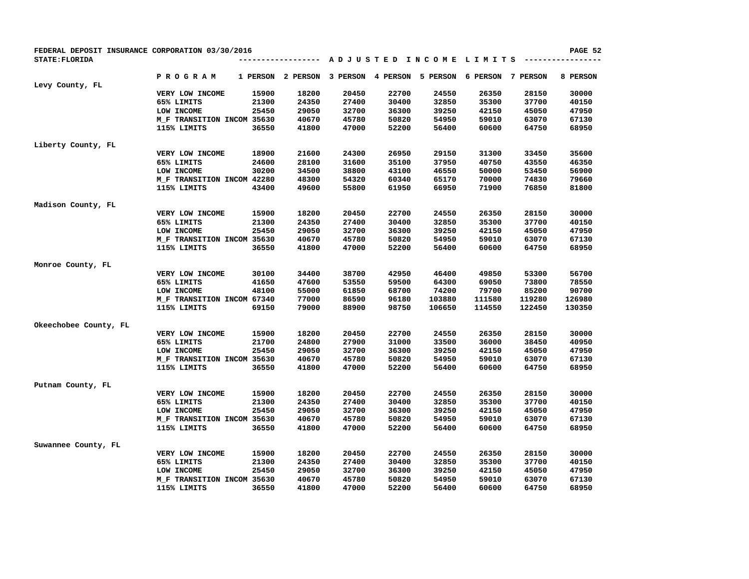| FEDERAL DEPOSIT INSURANCE CORPORATION 03/30/2016 |                            |          |                 |          |          |                        |          |          | PAGE 52  |
|--------------------------------------------------|----------------------------|----------|-----------------|----------|----------|------------------------|----------|----------|----------|
| STATE: FLORIDA                                   |                            |          | --------------- |          |          | ADJUSTED INCOME LIMITS |          |          |          |
| Levy County, FL                                  | <b>PROGRAM</b>             | 1 PERSON | 2 PERSON        | 3 PERSON | 4 PERSON | 5 PERSON               | 6 PERSON | 7 PERSON | 8 PERSON |
|                                                  | VERY LOW INCOME            | 15900    | 18200           | 20450    | 22700    | 24550                  | 26350    | 28150    | 30000    |
|                                                  | 65% LIMITS                 | 21300    | 24350           | 27400    | 30400    | 32850                  | 35300    | 37700    | 40150    |
|                                                  | LOW INCOME                 | 25450    | 29050           | 32700    | 36300    | 39250                  | 42150    | 45050    | 47950    |
|                                                  | M F TRANSITION INCOM 35630 |          | 40670           | 45780    | 50820    | 54950                  | 59010    | 63070    | 67130    |
|                                                  | 115% LIMITS                | 36550    | 41800           | 47000    | 52200    | 56400                  | 60600    | 64750    | 68950    |
| Liberty County, FL                               |                            |          |                 |          |          |                        |          |          |          |
|                                                  | VERY LOW INCOME            | 18900    | 21600           | 24300    | 26950    | 29150                  | 31300    | 33450    | 35600    |
|                                                  | 65% LIMITS                 | 24600    | 28100           | 31600    | 35100    | 37950                  | 40750    | 43550    | 46350    |
|                                                  | LOW INCOME                 | 30200    | 34500           | 38800    | 43100    | 46550                  | 50000    | 53450    | 56900    |
|                                                  | M F TRANSITION INCOM 42280 |          | 48300           | 54320    | 60340    | 65170                  | 70000    | 74830    | 79660    |
|                                                  | 115% LIMITS                | 43400    | 49600           | 55800    | 61950    | 66950                  | 71900    | 76850    | 81800    |
| Madison County, FL                               |                            |          |                 |          |          |                        |          |          |          |
|                                                  | VERY LOW INCOME            | 15900    | 18200           | 20450    | 22700    | 24550                  | 26350    | 28150    | 30000    |
|                                                  | 65% LIMITS                 | 21300    | 24350           | 27400    | 30400    | 32850                  | 35300    | 37700    | 40150    |
|                                                  | LOW INCOME                 | 25450    | 29050           | 32700    | 36300    | 39250                  | 42150    | 45050    | 47950    |
|                                                  | M_F TRANSITION INCOM 35630 |          | 40670           | 45780    | 50820    | 54950                  | 59010    | 63070    | 67130    |
|                                                  | 115% LIMITS                | 36550    | 41800           | 47000    | 52200    | 56400                  | 60600    | 64750    | 68950    |
| Monroe County, FL                                |                            |          |                 |          |          |                        |          |          |          |
|                                                  | VERY LOW INCOME            | 30100    | 34400           | 38700    | 42950    | 46400                  | 49850    | 53300    | 56700    |
|                                                  | 65% LIMITS                 | 41650    | 47600           | 53550    | 59500    | 64300                  | 69050    | 73800    | 78550    |
|                                                  | LOW INCOME                 | 48100    | 55000           | 61850    | 68700    | 74200                  | 79700    | 85200    | 90700    |
|                                                  | M_F TRANSITION INCOM 67340 |          | 77000           | 86590    | 96180    | 103880                 | 111580   | 119280   | 126980   |
|                                                  | 115% LIMITS                | 69150    | 79000           | 88900    | 98750    | 106650                 | 114550   | 122450   | 130350   |
| Okeechobee County, FL                            |                            |          |                 |          |          |                        |          |          |          |
|                                                  | VERY LOW INCOME            | 15900    | 18200           | 20450    | 22700    | 24550                  | 26350    | 28150    | 30000    |
|                                                  | 65% LIMITS                 | 21700    | 24800           | 27900    | 31000    | 33500                  | 36000    | 38450    | 40950    |
|                                                  | LOW INCOME                 | 25450    | 29050           | 32700    | 36300    | 39250                  | 42150    | 45050    | 47950    |
|                                                  | M F TRANSITION INCOM 35630 |          | 40670           | 45780    | 50820    | 54950                  | 59010    | 63070    | 67130    |
|                                                  | 115% LIMITS                | 36550    | 41800           | 47000    | 52200    | 56400                  | 60600    | 64750    | 68950    |
| Putnam County, FL                                |                            |          |                 |          |          |                        |          |          |          |
|                                                  | VERY LOW INCOME            | 15900    | 18200           | 20450    | 22700    | 24550                  | 26350    | 28150    | 30000    |
|                                                  | 65% LIMITS                 | 21300    | 24350           | 27400    | 30400    | 32850                  | 35300    | 37700    | 40150    |
|                                                  | LOW INCOME                 | 25450    | 29050           | 32700    | 36300    | 39250                  | 42150    | 45050    | 47950    |
|                                                  | M_F TRANSITION INCOM 35630 |          | 40670           | 45780    | 50820    | 54950                  | 59010    | 63070    | 67130    |
|                                                  | 115% LIMITS                | 36550    | 41800           | 47000    | 52200    | 56400                  | 60600    | 64750    | 68950    |
| Suwannee County, FL                              |                            |          |                 |          |          |                        |          |          |          |
|                                                  | VERY LOW INCOME            | 15900    | 18200           | 20450    | 22700    | 24550                  | 26350    | 28150    | 30000    |
|                                                  | 65% LIMITS                 | 21300    | 24350           | 27400    | 30400    | 32850                  | 35300    | 37700    | 40150    |
|                                                  | LOW INCOME                 | 25450    | 29050           | 32700    | 36300    | 39250                  | 42150    | 45050    | 47950    |
|                                                  | M_F TRANSITION INCOM 35630 |          | 40670           | 45780    | 50820    | 54950                  | 59010    | 63070    | 67130    |
|                                                  | 115% LIMITS                | 36550    | 41800           | 47000    | 52200    | 56400                  | 60600    | 64750    | 68950    |